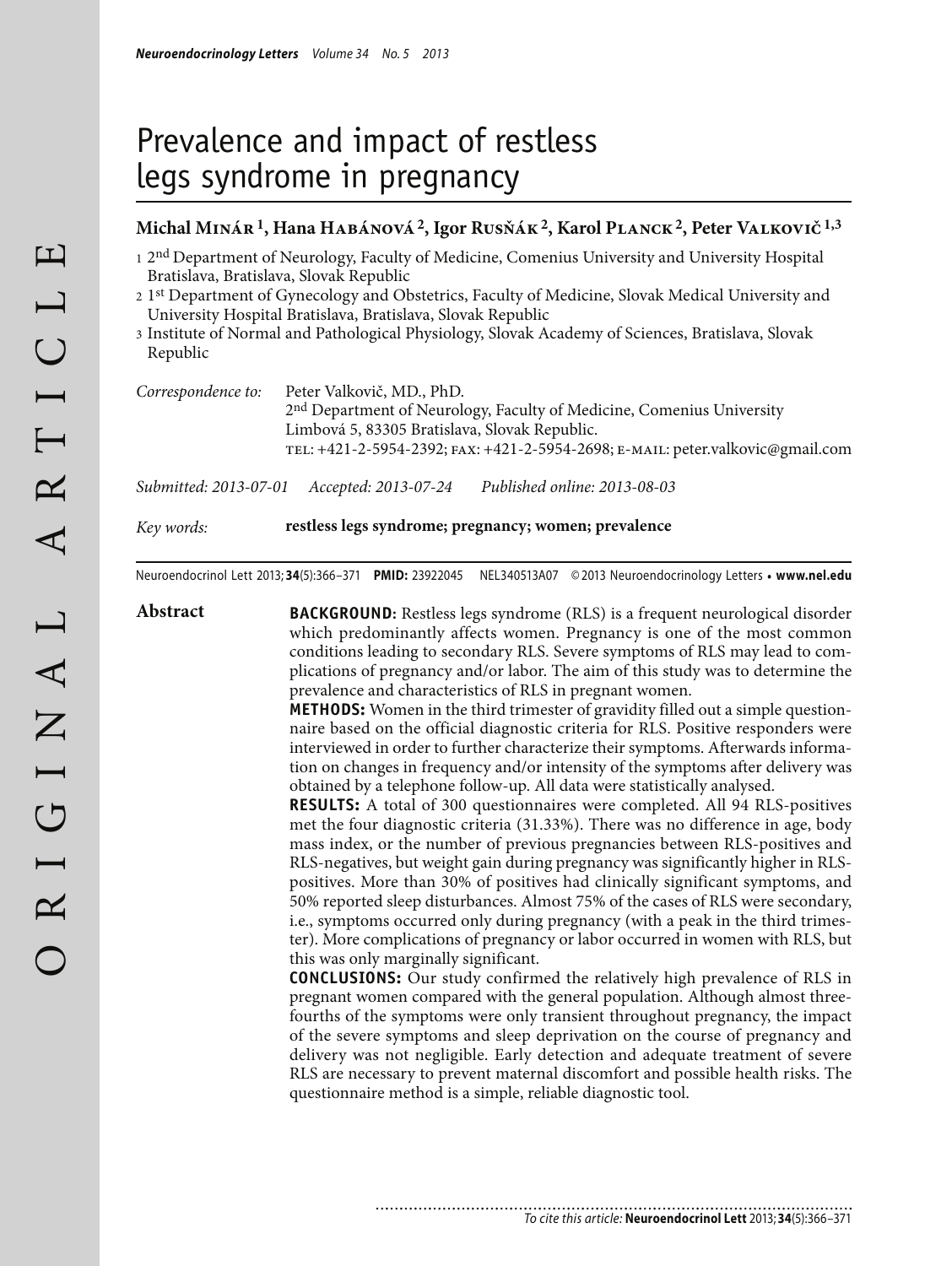# Prevalence and impact of restless legs syndrome in pregnancy

#### **Michal Minár 1, Hana Habánová 2, Igor Rusňák 2, Karol Planck 2, Peter Valkovič 1,3**

- <sup>1</sup> 2<sup>nd</sup> Department of Neurology, Faculty of Medicine, Comenius University and University Hospital Bratislava, Bratislava, Slovak Republic
- 2 1st Department of Gynecology and Obstetrics, Faculty of Medicine, Slovak Medical University and University Hospital Bratislava, Bratislava, Slovak Republic
- 3 Institute of Normal and Pathological Physiology, Slovak Academy of Sciences, Bratislava, Slovak Republic

| Correspondence to: | Peter Valkovič, MD., PhD.                                                         |
|--------------------|-----------------------------------------------------------------------------------|
|                    | 2 <sup>nd</sup> Department of Neurology, Faculty of Medicine, Comenius University |
|                    | Limbová 5, 83305 Bratislava, Slovak Republic.                                     |
|                    | TEL: +421-2-5954-2392; FAX: +421-2-5954-2698; E-MAIL: peter.valkovic@gmail.com    |
|                    |                                                                                   |

*Submitted: 2013-07-01 Accepted: 2013-07-24 Published online: 2013-08-03*

*Key words:* **restless legs syndrome; pregnancy; women; prevalence**

Neuroendocrinol Lett 2013; **34**(5):366–371 **PMID:** 23922045 NEL340513A07 © 2013 Neuroendocrinology Letters • **www.nel.edu**

**Abstract BACKGROUND:** Restless legs syndrome (RLS) is a frequent neurological disorder which predominantly affects women. Pregnancy is one of the most common conditions leading to secondary RLS. Severe symptoms of RLS may lead to complications of pregnancy and/or labor. The aim of this study was to determine the prevalence and characteristics of RLS in pregnant women.

> **METHODS:** Women in the third trimester of gravidity filled out a simple questionnaire based on the official diagnostic criteria for RLS. Positive responders were interviewed in order to further characterize their symptoms. Afterwards information on changes in frequency and/or intensity of the symptoms after delivery was obtained by a telephone follow-up. All data were statistically analysed.

> **RESULTS:** A total of 300 questionnaires were completed. All 94 RLS-positives met the four diagnostic criteria (31.33%). There was no difference in age, body mass index, or the number of previous pregnancies between RLS-positives and RLS-negatives, but weight gain during pregnancy was significantly higher in RLSpositives. More than 30% of positives had clinically significant symptoms, and 50% reported sleep disturbances. Almost 75% of the cases of RLS were secondary, i.e., symptoms occurred only during pregnancy (with a peak in the third trimester). More complications of pregnancy or labor occurred in women with RLS, but this was only marginally significant.

> **CONCLUSIONS:** Our study confirmed the relatively high prevalence of RLS in pregnant women compared with the general population. Although almost threefourths of the symptoms were only transient throughout pregnancy, the impact of the severe symptoms and sleep deprivation on the course of pregnancy and delivery was not negligible. Early detection and adequate treatment of severe RLS are necessary to prevent maternal discomfort and possible health risks. The questionnaire method is a simple, reliable diagnostic tool.

> > ............................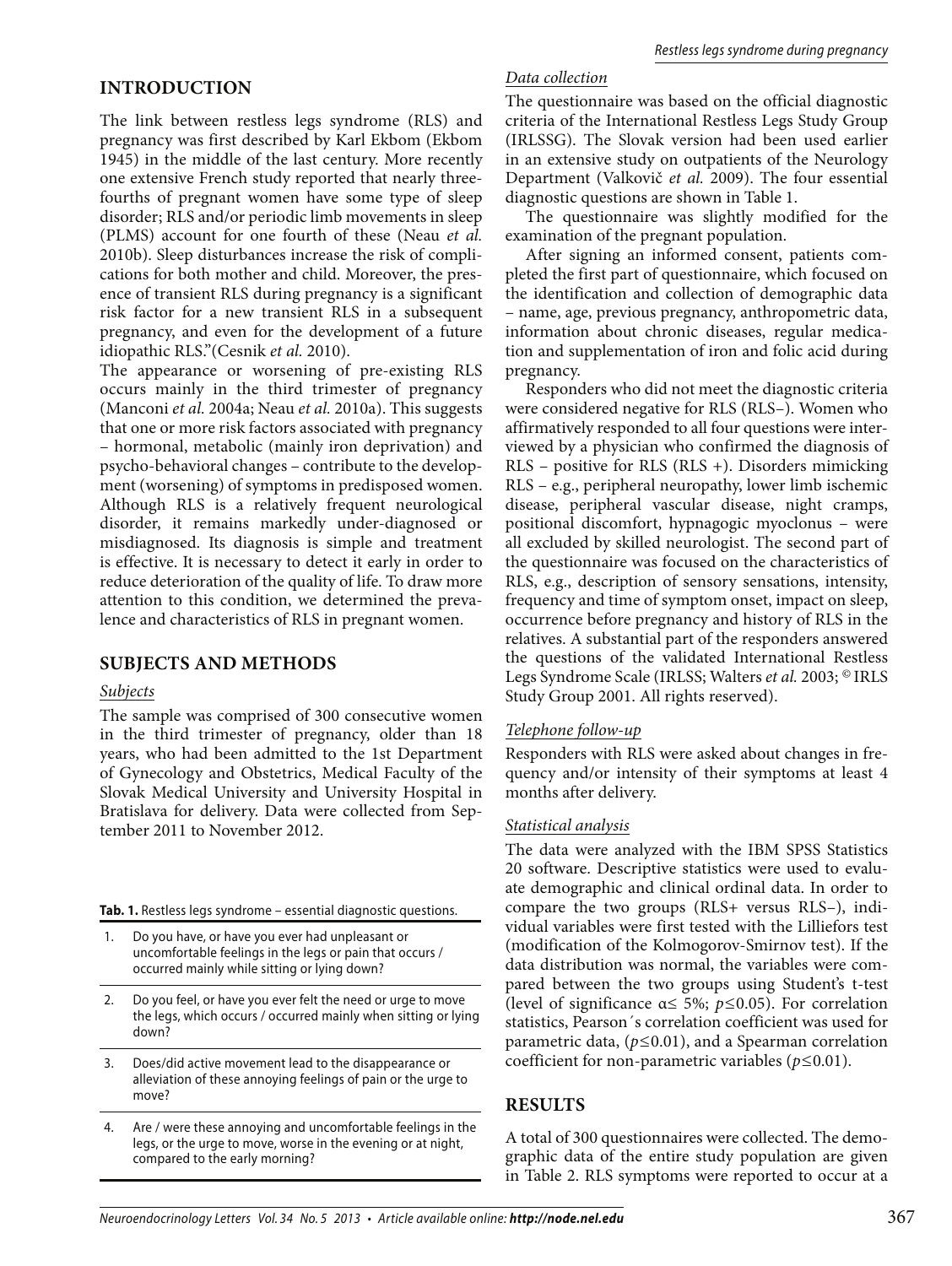# **INTRODUCTION**

The link between restless legs syndrome (RLS) and pregnancy was first described by Karl Ekbom (Ekbom 1945) in the middle of the last century. More recently one extensive French study reported that nearly threefourths of pregnant women have some type of sleep disorder; RLS and/or periodic limb movements in sleep (PLMS) account for one fourth of these (Neau *et al.* 2010b). Sleep disturbances increase the risk of complications for both mother and child. Moreover, the presence of transient RLS during pregnancy is a significant risk factor for a new transient RLS in a subsequent pregnancy, and even for the development of a future idiopathic RLS."(Cesnik *et al.* 2010).

The appearance or worsening of pre-existing RLS occurs mainly in the third trimester of pregnancy (Manconi *et al.* 2004a; Neau *et al.* 2010a). This suggests that one or more risk factors associated with pregnancy – hormonal, metabolic (mainly iron deprivation) and psycho-behavioral changes – contribute to the development (worsening) of symptoms in predisposed women. Although RLS is a relatively frequent neurological disorder, it remains markedly under-diagnosed or misdiagnosed. Its diagnosis is simple and treatment is effective. It is necessary to detect it early in order to reduce deterioration of the quality of life. To draw more attention to this condition, we determined the prevalence and characteristics of RLS in pregnant women.

## **SUBJECTS AND METHODS**

## *Subjects*

The sample was comprised of 300 consecutive women in the third trimester of pregnancy, older than 18 years, who had been admitted to the 1st Department of Gynecology and Obstetrics, Medical Faculty of the Slovak Medical University and University Hospital in Bratislava for delivery. Data were collected from September 2011 to November 2012.

**Tab. 1.** Restless legs syndrome – essential diagnostic questions.

- Do you have, or have you ever had unpleasant or uncomfortable feelings in the legs or pain that occurs / occurred mainly while sitting or lying down?
- 2. Do you feel, or have you ever felt the need or urge to move the legs, which occurs / occurred mainly when sitting or lying down?
- 3. Does/did active movement lead to the disappearance or alleviation of these annoying feelings of pain or the urge to move?
- 4. Are / were these annoying and uncomfortable feelings in the legs, or the urge to move, worse in the evening or at night, compared to the early morning?

## *Data collection*

The questionnaire was based on the official diagnostic criteria of the International Restless Legs Study Group (IRLSSG). The Slovak version had been used earlier in an extensive study on outpatients of the Neurology Department (Valkovič *et al.* 2009). The four essential diagnostic questions are shown in Table 1.

The questionnaire was slightly modified for the examination of the pregnant population.

After signing an informed consent, patients completed the first part of questionnaire, which focused on the identification and collection of demographic data – name, age, previous pregnancy, anthropometric data, information about chronic diseases, regular medication and supplementation of iron and folic acid during pregnancy.

Responders who did not meet the diagnostic criteria were considered negative for RLS (RLS–). Women who affirmatively responded to all four questions were interviewed by a physician who confirmed the diagnosis of RLS – positive for RLS (RLS +). Disorders mimicking RLS – e.g., peripheral neuropathy, lower limb ischemic disease, peripheral vascular disease, night cramps, positional discomfort, hypnagogic myoclonus – were all excluded by skilled neurologist. The second part of the questionnaire was focused on the characteristics of RLS, e.g., description of sensory sensations, intensity, frequency and time of symptom onset, impact on sleep, occurrence before pregnancy and history of RLS in the relatives. A substantial part of the responders answered the questions of the validated International Restless Legs Syndrome Scale (IRLSS; Walters *et al.* 2003; © IRLS Study Group 2001. All rights reserved).

#### *Telephone follow-up*

Responders with RLS were asked about changes in frequency and/or intensity of their symptoms at least 4 months after delivery.

#### *Statistical analysis*

The data were analyzed with the IBM SPSS Statistics 20 software. Descriptive statistics were used to evaluate demographic and clinical ordinal data. In order to compare the two groups (RLS+ versus RLS–), individual variables were first tested with the Lilliefors test (modification of the Kolmogorov-Smirnov test). If the data distribution was normal, the variables were compared between the two groups using Student's t-test (level of significance α≤ 5%; *p≤*0.05). For correlation statistics, Pearson´s correlation coefficient was used for parametric data, (*p≤*0.01), and a Spearman correlation coefficient for non-parametric variables (*p≤*0.01).

## **RESULTS**

A total of 300 questionnaires were collected. The demographic data of the entire study population are given in Table 2. RLS symptoms were reported to occur at a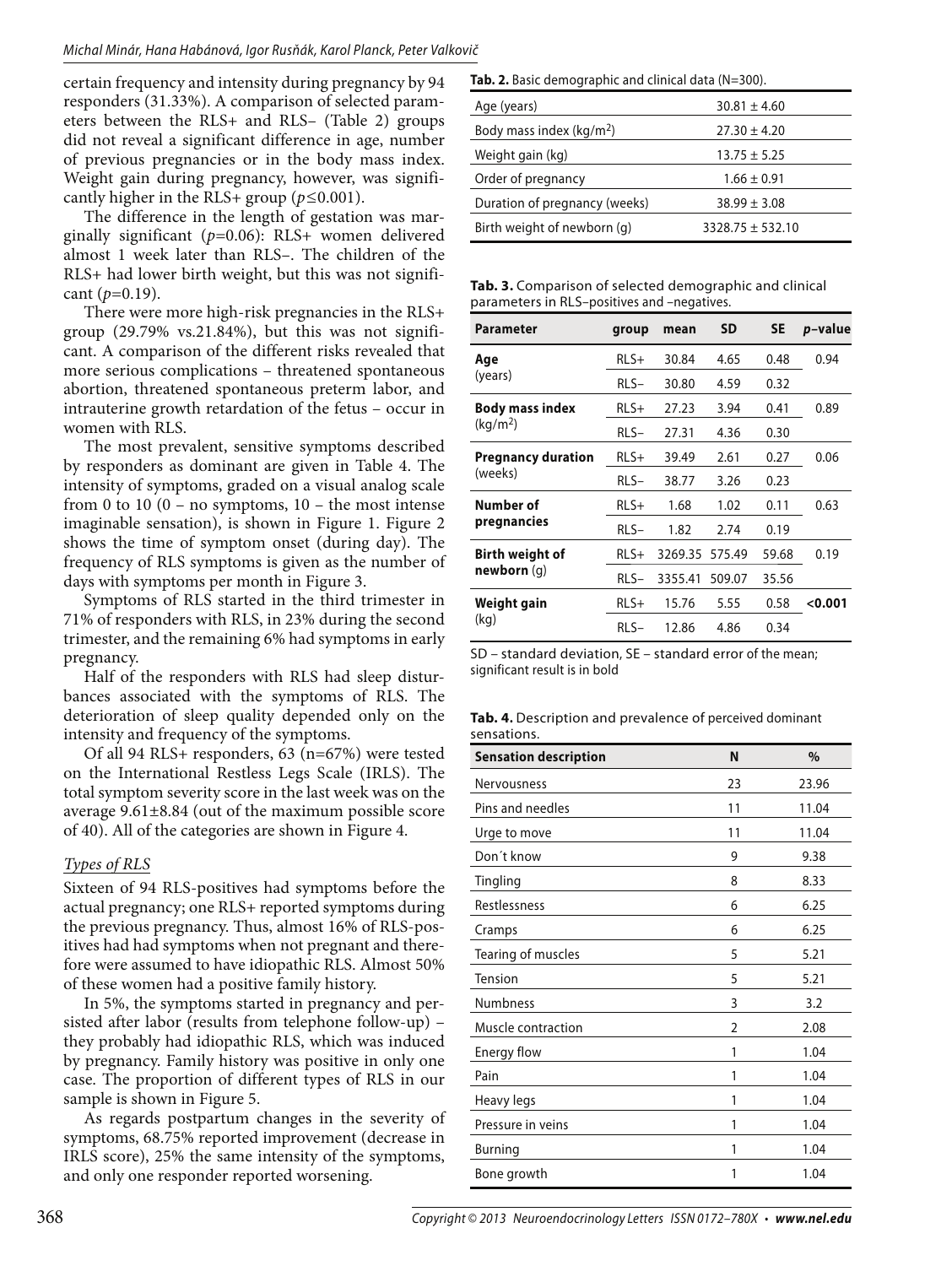certain frequency and intensity during pregnancy by 94 responders (31.33%). A comparison of selected parameters between the RLS+ and RLS– (Table 2) groups did not reveal a significant difference in age, number of previous pregnancies or in the body mass index. Weight gain during pregnancy, however, was significantly higher in the RLS+ group (*p≤*0.001).

The difference in the length of gestation was marginally significant (*p=*0.06): RLS+ women delivered almost 1 week later than RLS–. The children of the RLS+ had lower birth weight, but this was not significant (*p=*0.19).

There were more high-risk pregnancies in the RLS+ group (29.79% vs.21.84%), but this was not significant. A comparison of the different risks revealed that more serious complications – threatened spontaneous abortion, threatened spontaneous preterm labor, and intrauterine growth retardation of the fetus – occur in women with RLS.

The most prevalent, sensitive symptoms described by responders as dominant are given in Table 4. The intensity of symptoms, graded on a visual analog scale from 0 to 10 (0 – no symptoms,  $10$  – the most intense imaginable sensation), is shown in Figure 1. Figure 2 shows the time of symptom onset (during day). The frequency of RLS symptoms is given as the number of days with symptoms per month in Figure 3.

Symptoms of RLS started in the third trimester in 71% of responders with RLS, in 23% during the second trimester, and the remaining 6% had symptoms in early pregnancy.

Half of the responders with RLS had sleep disturbances associated with the symptoms of RLS. The deterioration of sleep quality depended only on the intensity and frequency of the symptoms.

Of all 94 RLS+ responders, 63 (n=67%) were tested on the International Restless Legs Scale (IRLS). The total symptom severity score in the last week was on the average 9.61±8.84 (out of the maximum possible score of 40). All of the categories are shown in Figure 4.

#### *Types of RLS*

Sixteen of 94 RLS-positives had symptoms before the actual pregnancy; one RLS+ reported symptoms during the previous pregnancy. Thus, almost 16% of RLS-positives had had symptoms when not pregnant and therefore were assumed to have idiopathic RLS. Almost 50% of these women had a positive family history.

In 5%, the symptoms started in pregnancy and persisted after labor (results from telephone follow-up) – they probably had idiopathic RLS, which was induced by pregnancy. Family history was positive in only one case. The proportion of different types of RLS in our sample is shown in Figure 5.

As regards postpartum changes in the severity of symptoms, 68.75% reported improvement (decrease in IRLS score), 25% the same intensity of the symptoms, and only one responder reported worsening.

Tab. 2. Basic demographic and clinical data (N=300).

| Age (years)                          | $30.81 \pm 4.60$     |
|--------------------------------------|----------------------|
| Body mass index (kg/m <sup>2</sup> ) | $27.30 \pm 4.20$     |
| Weight gain (kg)                     | $13.75 \pm 5.25$     |
| Order of pregnancy                   | $1.66 \pm 0.91$      |
| Duration of pregnancy (weeks)        | $38.99 \pm 3.08$     |
| Birth weight of newborn (g)          | $3328.75 \pm 532.10$ |

**Tab. 3.** Comparison of selected demographic and clinical parameters in RLS–positives and –negatives.

| <b>Parameter</b>          | group  | mean    | SD     | <b>SE</b> | <i>p</i> -value |
|---------------------------|--------|---------|--------|-----------|-----------------|
| Age                       | $RLS+$ | 30.84   | 4.65   | 0.48      | 0.94            |
| (years)                   | $RLS-$ | 30.80   | 4.59   | 0.32      |                 |
| Body mass index           | $RLS+$ | 27.23   | 3.94   | 0.41      | 0.89            |
| (kq/m <sup>2</sup> )      | $RLS-$ | 27.31   | 4.36   | 0.30      |                 |
| <b>Pregnancy duration</b> | $RLS+$ | 39.49   | 2.61   | 0.27      | 0.06            |
| (weeks)                   | $RLS-$ | 38.77   | 3.26   | 0.23      |                 |
| Number of                 | $RLS+$ | 1.68    | 1.02   | 0.11      | 0.63            |
| pregnancies               | $RLS-$ | 1.82    | 2.74   | 0.19      |                 |
| Birth weight of           | $RLS+$ | 3269.35 | 575.49 | 59.68     | 0.19            |
| newborn(q)                | $RLS-$ | 3355.41 | 509.07 | 35.56     |                 |
| Weight gain               | $RLS+$ | 15.76   | 5.55   | 0.58      | 0.001           |
| (kg)                      | RLS-   | 12.86   | 4.86   | 0.34      |                 |

| SD – standard deviation. SE – standard error of the mean: |  |
|-----------------------------------------------------------|--|
| significant result is in bold                             |  |

|             | <b>Tab. 4.</b> Description and prevalence of perceived dominant |  |
|-------------|-----------------------------------------------------------------|--|
| sensations. |                                                                 |  |

| <b>Sensation description</b> | N  | $\%$  |
|------------------------------|----|-------|
| <b>Nervousness</b>           | 23 | 23.96 |
| Pins and needles             | 11 | 11.04 |
| Urge to move                 | 11 | 11.04 |
| Don't know                   | 9  | 9.38  |
| Tingling                     | 8  | 8.33  |
| Restlessness                 | 6  | 6.25  |
| Cramps                       | 6  | 6.25  |
| Tearing of muscles           | 5  | 5.21  |
| Tension                      | 5  | 5.21  |
| Numbness                     | 3  | 3.2   |
| Muscle contraction           | 2  | 2.08  |
| Energy flow                  | 1  | 1.04  |
| Pain                         | 1  | 1.04  |
| Heavy legs                   | 1  | 1.04  |
| Pressure in veins            | 1  | 1.04  |
| Burning                      | 1  | 1.04  |
| Bone growth                  | 1  | 1.04  |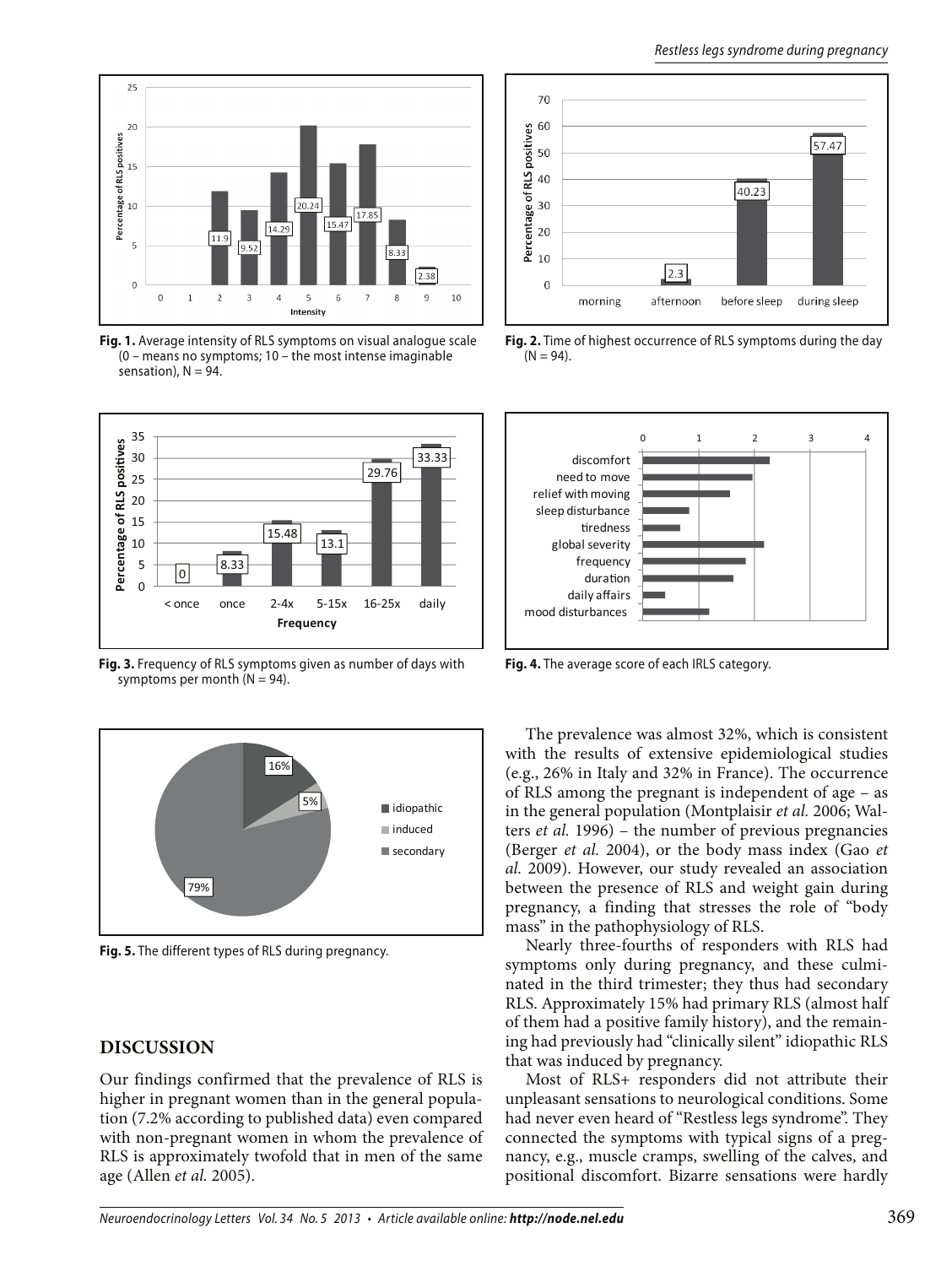

**Fig. 1.** Average intensity of RLS symptoms on visual analogue scale (0 – means no symptoms; 10 – the most intense imaginable sensation),  $N = 94$ .



**Fig. 3.** Frequency of RLS symptoms given as number of days with symptoms per month  $(N = 94)$ .



**Fig. 5.** The different types of RLS during pregnancy.

#### **DISCUSSION**

Our findings confirmed that the prevalence of RLS is higher in pregnant women than in the general population (7.2% according to published data) even compared with non-pregnant women in whom the prevalence of RLS is approximately twofold that in men of the same age (Allen *et al.* 2005).



**Fig. 2.** Time of highest occurrence of RLS symptoms during the day  $(N = 94)$ .



**Fig. 4.** The average score of each IRLS category.

The prevalence was almost 32%, which is consistent with the results of extensive epidemiological studies (e.g., 26% in Italy and 32% in France). The occurrence of RLS among the pregnant is independent of age – as in the general population (Montplaisir *et al.* 2006; Walters *et al.* 1996) – the number of previous pregnancies (Berger *et al.* 2004), or the body mass index (Gao *et al.* 2009). However, our study revealed an association between the presence of RLS and weight gain during pregnancy, a finding that stresses the role of "body mass" in the pathophysiology of RLS.

Nearly three-fourths of responders with RLS had symptoms only during pregnancy, and these culminated in the third trimester; they thus had secondary RLS. Approximately 15% had primary RLS (almost half of them had a positive family history), and the remaining had previously had "clinically silent" idiopathic RLS that was induced by pregnancy.

Most of RLS+ responders did not attribute their unpleasant sensations to neurological conditions. Some had never even heard of "Restless legs syndrome". They connected the symptoms with typical signs of a pregnancy, e.g., muscle cramps, swelling of the calves, and positional discomfort. Bizarre sensations were hardly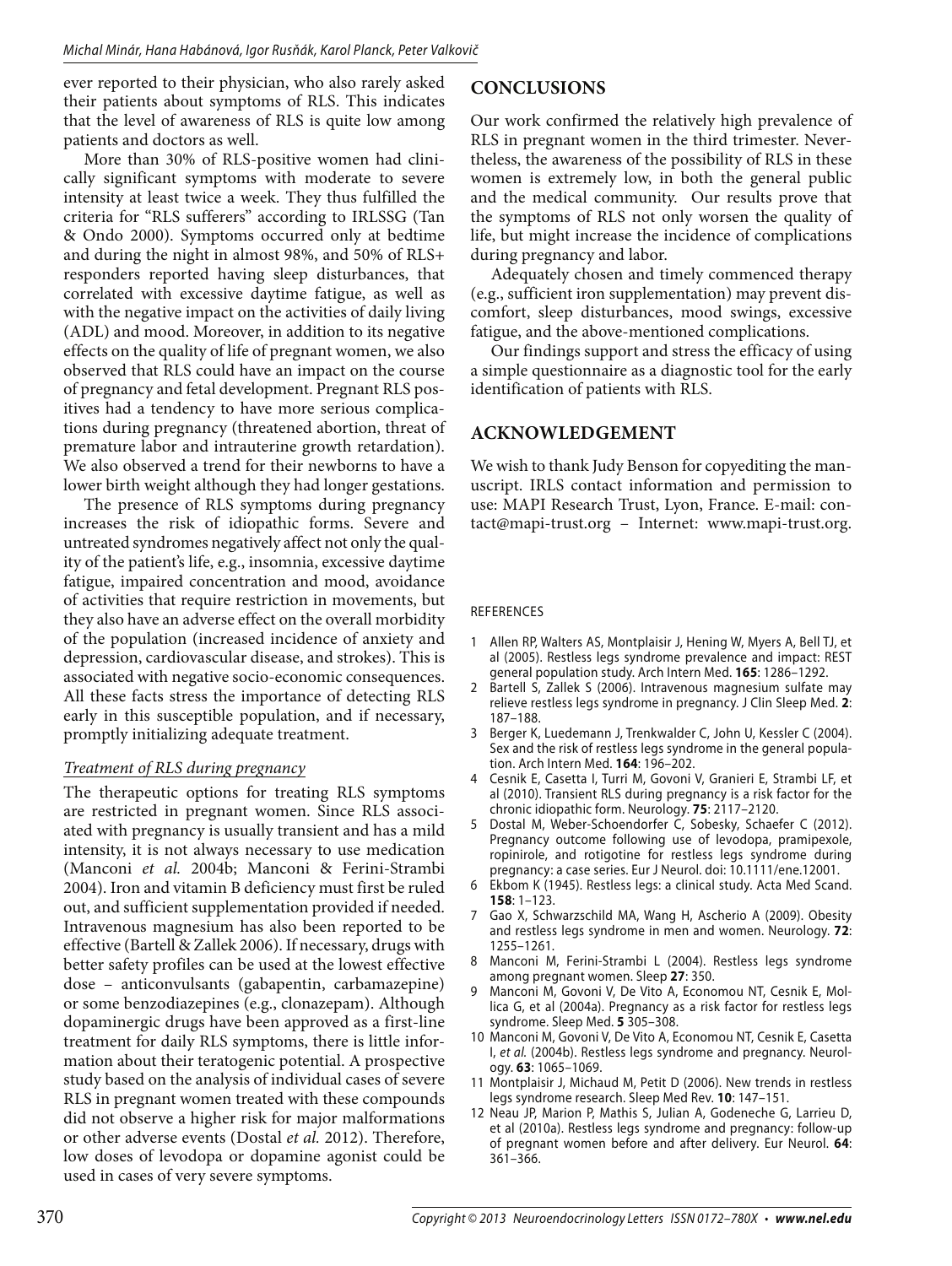ever reported to their physician, who also rarely asked their patients about symptoms of RLS. This indicates that the level of awareness of RLS is quite low among patients and doctors as well.

More than 30% of RLS-positive women had clinically significant symptoms with moderate to severe intensity at least twice a week. They thus fulfilled the criteria for "RLS sufferers" according to IRLSSG (Tan & Ondo 2000). Symptoms occurred only at bedtime and during the night in almost 98%, and 50% of RLS+ responders reported having sleep disturbances, that correlated with excessive daytime fatigue, as well as with the negative impact on the activities of daily living (ADL) and mood. Moreover, in addition to its negative effects on the quality of life of pregnant women, we also observed that RLS could have an impact on the course of pregnancy and fetal development. Pregnant RLS positives had a tendency to have more serious complications during pregnancy (threatened abortion, threat of premature labor and intrauterine growth retardation). We also observed a trend for their newborns to have a lower birth weight although they had longer gestations.

The presence of RLS symptoms during pregnancy increases the risk of idiopathic forms. Severe and untreated syndromes negatively affect not only the quality of the patient's life, e.g., insomnia, excessive daytime fatigue, impaired concentration and mood, avoidance of activities that require restriction in movements, but they also have an adverse effect on the overall morbidity of the population (increased incidence of anxiety and depression, cardiovascular disease, and strokes). This is associated with negative socio-economic consequences. All these facts stress the importance of detecting RLS early in this susceptible population, and if necessary, promptly initializing adequate treatment.

#### *Treatment of RLS during pregnancy*

The therapeutic options for treating RLS symptoms are restricted in pregnant women. Since RLS associated with pregnancy is usually transient and has a mild intensity, it is not always necessary to use medication (Manconi *et al.* 2004b; Manconi & Ferini-Strambi 2004). Iron and vitamin B deficiency must first be ruled out, and sufficient supplementation provided if needed. Intravenous magnesium has also been reported to be effective (Bartell & Zallek 2006). If necessary, drugs with better safety profiles can be used at the lowest effective dose – anticonvulsants (gabapentin, carbamazepine) or some benzodiazepines (e.g., clonazepam). Although dopaminergic drugs have been approved as a first-line treatment for daily RLS symptoms, there is little information about their teratogenic potential. A prospective study based on the analysis of individual cases of severe RLS in pregnant women treated with these compounds did not observe a higher risk for major malformations or other adverse events (Dostal *et al.* 2012). Therefore, low doses of levodopa or dopamine agonist could be used in cases of very severe symptoms.

## **CONCLUSIONS**

Our work confirmed the relatively high prevalence of RLS in pregnant women in the third trimester. Nevertheless, the awareness of the possibility of RLS in these women is extremely low, in both the general public and the medical community. Our results prove that the symptoms of RLS not only worsen the quality of life, but might increase the incidence of complications during pregnancy and labor.

Adequately chosen and timely commenced therapy (e.g., sufficient iron supplementation) may prevent discomfort, sleep disturbances, mood swings, excessive fatigue, and the above-mentioned complications.

Our findings support and stress the efficacy of using a simple questionnaire as a diagnostic tool for the early identification of patients with RLS.

### **ACKNOWLEDGEMENT**

We wish to thank Judy Benson for copyediting the manuscript. IRLS contact information and permission to use: MAPI Research Trust, Lyon, France. E-mail: contact@mapi-trust.org – Internet: www.mapi-trust.org.

#### REFERENCES

- 1 Allen RP, Walters AS, Montplaisir J, Hening W, Myers A, Bell TJ, et al (2005). Restless legs syndrome prevalence and impact: REST general population study. Arch Intern Med. **165**: 1286–1292.
- Bartell S, Zallek S (2006). Intravenous magnesium sulfate may relieve restless legs syndrome in pregnancy. J Clin Sleep Med. **2**: 187–188.
- Berger K, Luedemann J, Trenkwalder C, John U, Kessler C (2004). Sex and the risk of restless legs syndrome in the general population. Arch Intern Med. **164**: 196–202.
- 4 Cesnik E, Casetta I, Turri M, Govoni V, Granieri E, Strambi LF, et al (2010). Transient RLS during pregnancy is a risk factor for the chronic idiopathic form. Neurology. **75**: 2117–2120.
- 5 Dostal M, Weber-Schoendorfer C, Sobesky, Schaefer C (2012). Pregnancy outcome following use of levodopa, pramipexole, ropinirole, and rotigotine for restless legs syndrome during pregnancy: a case series. Eur J Neurol. doi: 10.1111/ene.12001.
- Ekbom K (1945). Restless legs: a clinical study. Acta Med Scand. **158**: 1–123.
- 7 Gao X, Schwarzschild MA, Wang H, Ascherio A (2009). Obesity and restless legs syndrome in men and women. Neurology. **72**: 1255–1261.
- 8 Manconi M, Ferini-Strambi L (2004). Restless legs syndrome among pregnant women. Sleep **27**: 350.
- Manconi M, Govoni V, De Vito A, Economou NT, Cesnik E, Mollica G, et al (2004a). Pregnancy as a risk factor for restless legs syndrome. Sleep Med. **5** 305–308.
- 10 Manconi M, Govoni V, De Vito A, Economou NT, Cesnik E, Casetta I, et al. (2004b). Restless legs syndrome and pregnancy. Neurology. **63**: 1065–1069.
- 11 Montplaisir J, Michaud M, Petit D (2006). New trends in restless legs syndrome research. Sleep Med Rev. **10**: 147–151.
- 12 Neau JP, Marion P, Mathis S, Julian A, Godeneche G, Larrieu D, et al (2010a). Restless legs syndrome and pregnancy: follow-up of pregnant women before and after delivery. Eur Neurol. **64**: 361–366.